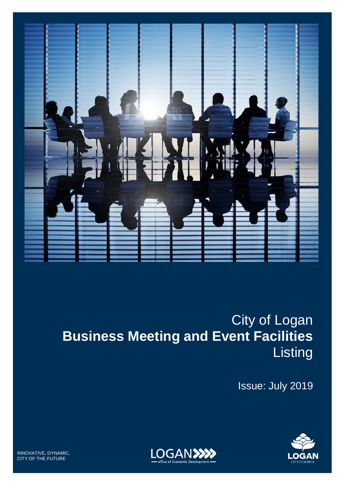

Issue: July 2019





INNOVATIVE, DYNAMIC, CITY OF THE FUTURE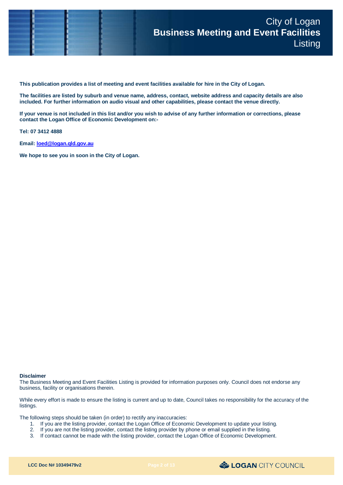

**This publication provides a list of meeting and event facilities available for hire in the City of Logan.**

**The facilities are listed by suburb and venue name, address, contact, website address and capacity details are also included. For further information on audio visual and other capabilities, please contact the venue directly.**

**If your venue is not included in this list and/or you wish to advise of any further information or corrections, please contact the Logan Office of Economic Development on:-**

**Tel: 07 3412 4888**

**Email[: loed@logan.qld.gov.au](mailto:loed@logan.qld.gov.au)**

**We hope to see you in soon in the City of Logan.**

#### **Disclaimer**

The Business Meeting and Event Facilities Listing is provided for information purposes only. Council does not endorse any business, facility or organisations therein.

While every effort is made to ensure the listing is current and up to date, Council takes no responsibility for the accuracy of the listings.

The following steps should be taken (in order) to rectify any inaccuracies:

- 1. If you are the listing provider, contact the Logan Office of Economic Development to update your listing.
- 2. If you are not the listing provider, contact the listing provider by phone or email supplied in the listing.
- 3. If contact cannot be made with the listing provider, contact the Logan Office of Economic Development.

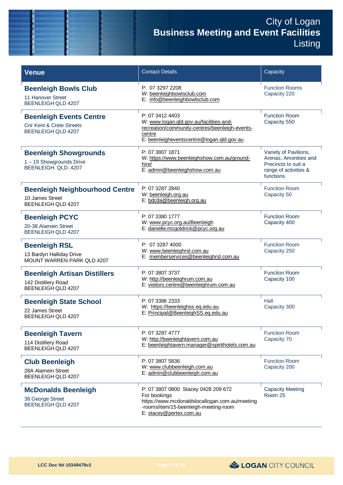| <b>Venue</b>                                                                                       | <b>Contact Details</b>                                                                                                                                                    | Capacity                                                                                                    |
|----------------------------------------------------------------------------------------------------|---------------------------------------------------------------------------------------------------------------------------------------------------------------------------|-------------------------------------------------------------------------------------------------------------|
| <b>Beenleigh Bowls Club</b><br>11 Hanover Street<br><b>BEENLEIGH QLD 4207</b>                      | P: 07 3297 2208<br>W: beenleighbowlsclub.com<br>E: info@beenleighbowlsclub.com                                                                                            | <b>Function Rooms</b><br>Capacity 220                                                                       |
| <b>Beenleigh Events Centre</b><br><b>Cnr Kent &amp; Crete Streets</b><br><b>BEENLEIGH QLD 4207</b> | P: 07 3412 4403<br>W: www.logan.qld.gov.au/facilities-and-<br>recreation/community-centres/beenleigh-events-<br>centre<br>E: beenleigheventscentre@logan.gld.gov.au       | <b>Function Room</b><br>Capacity 550                                                                        |
| <b>Beenleigh Showgrounds</b><br>1-19 Showgrounds Drive<br>BEENLEIGH. QLD. 4207                     | P: 07 3807 1871<br>W: https://www.beenleighshow.com.au/ground-<br>hire/<br>E: admin@beenleighshow.com.au                                                                  | Variety of Pavilions,<br>Arenas, Amenities and<br>Precincts to suit a<br>range of activities &<br>functions |
| <b>Beenleigh Neighbourhood Centre</b><br>10 James Street<br>BEENLEIGH QLD 4207                     | P: 07 3287 2840<br>W: beenleigh.org.au<br>E: bdcda@beenleigh.org.au                                                                                                       | <b>Function Room</b><br>Capacity 50                                                                         |
| <b>Beenleigh PCYC</b><br>20-38 Alamein Street<br>BEENLEIGH QLD 4207                                | P: 07 3380 1777<br>W: www.pcyc.org.au/Beenleigh<br>E: danielle.mcgoldrick@pcyc.org.au                                                                                     | <b>Function Room</b><br>Capacity 400                                                                        |
| <b>Beenleigh RSL</b><br>13 Bardyn Halliday Drive<br>MOUNT WARREN PARK QLD 4207                     | P: 07 3287 4000<br>W: www.beenleighrsl.com.au<br>E: memberservices@beenleighrsl.com.au                                                                                    | <b>Function Room</b><br>Capacity 250                                                                        |
| <b>Beenleigh Artisan Distillers</b><br>142 Distillery Road<br>BEENLEIGH QLD 4207                   | P: 07 3807 3737<br>W: http://beenleighrum.com.au<br>E: visitors.centre@beenleighrum.com.au                                                                                | <b>Function Room</b><br>Capacity 100                                                                        |
| <b>Beenleigh State School</b><br>22 James Street<br>BEENLEIGH QLD 4207                             | P: 07 3386 2333<br>W: https://beenleighss.eq.edu.au<br>E: Principal@BeenleighSS.eq.edu.au                                                                                 | Hall<br>Capacity 300                                                                                        |
| <b>Beenleigh Tavern</b><br>114 Distillery Road<br>BEENLEIGH QLD 4207                               | P: 07 3287 4777<br>W: http://beenleightavern.com.au<br>E: beenleightavern.manager@spirithotels.com.au                                                                     | <b>Function Room</b><br>Capacity 70                                                                         |
| <b>Club Beenleigh</b><br>28A Alamein Street<br>BEENLEIGH OLD 4207                                  | P: 07 3807 5836<br>W: www.clubbeenleigh.com.au<br>E: admin@clubbeenleigh.com.au                                                                                           | <b>Function Room</b><br>Capacity 200                                                                        |
| <b>McDonalds Beenleigh</b><br>38 George Street<br>BEENLEIGH QLD 4207                               | P: 07 3807 0800 Stacey 0428 209 672<br>For bookings<br>https://www.mcdonaldslocallogan.com.au/meeting<br>-rooms/item/15-beenleigh-meeting-room<br>E: stacey@pertex.com.au | <b>Capacity Meeting</b><br>Room 25                                                                          |

& LOGAN CITY COUNCIL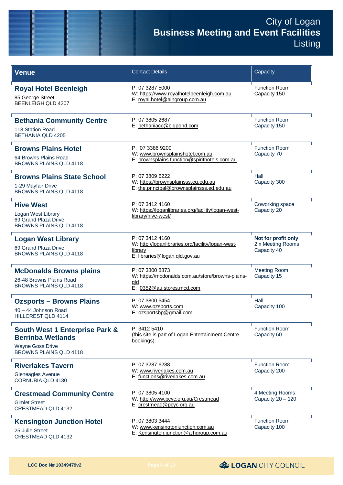| <b>Venue</b>                                                                                                               | <b>Contact Details</b>                                                                                           | Capacity                                                |
|----------------------------------------------------------------------------------------------------------------------------|------------------------------------------------------------------------------------------------------------------|---------------------------------------------------------|
| <b>Royal Hotel Beenleigh</b><br>85 George Street<br><b>BEENLEIGH QLD 4207</b>                                              | P: 07 3287 5000<br>W: https://www.royalhotelbeenleigh.com.au<br>E: royal.hotel@alhgroup.com.au                   | <b>Function Room</b><br>Capacity 150                    |
| <b>Bethania Community Centre</b><br>118 Station Road<br><b>BETHANIA QLD 4205</b>                                           | P: 07 3805 2687<br>E: bethaniacc@bigpond.com                                                                     | <b>Function Room</b><br>Capacity 150                    |
| <b>Browns Plains Hotel</b><br>64 Browns Plains Road<br><b>BROWNS PLAINS QLD 4118</b>                                       | P: 07 3386 9200<br>W: www.brownsplainshotel.com.au<br>E: brownsplains.function@spirithotels.com.au               | <b>Function Room</b><br>Capacity 70                     |
| <b>Browns Plains State School</b><br>1-29 Mayfair Drive<br><b>BROWNS PLAINS QLD 4118</b>                                   | P: 07 3809 6222<br>W: https://brownsplainsss.eq.edu.au<br>E: the.principal@brownsplainsss.ed.edu.au              | Hall<br>Capacity 300                                    |
| <b>Hive West</b><br>Logan West Library<br>69 Grand Plaza Drive<br><b>BROWNS PLAINS QLD 4118</b>                            | P: 07 3412 4160<br>W: https://loganlibraries.org/facility/logan-west-<br>library/hive-west/                      | Coworking space<br>Capacity 20                          |
| <b>Logan West Library</b><br>69 Grand Plaza Drive<br><b>BROWNS PLAINS QLD 4118</b>                                         | P: 07 3412 4160<br>W: http://loganlibraries.org/facility/logan-west-<br>library<br>E: libraries@logan.qld.gov.au | Not for profit only<br>2 x Meeting Rooms<br>Capacity 40 |
| <b>McDonalds Browns plains</b><br>26-48 Browns Plains Road<br><b>BROWNS PLAINS QLD 4118</b>                                | P: 07 3800 8873<br>W: https://mcdonalds.com.au/store/browns-plains-<br>qld<br>E: 0352@au.stores.mcd.com          | <b>Meeting Room</b><br>Capacity 15                      |
| <b>Ozsports - Browns Plains</b><br>40 - 44 Johnson Road<br>HILLCREST QLD 4114                                              | P: 07 3800 5454<br>W: www.ozsports.com<br>E: ozsportsbp@gmail.com                                                | Hall<br>Capacity 100                                    |
| <b>South West 1 Enterprise Park &amp;</b><br><b>Berrinba Wetlands</b><br><b>Wayne Goss Drive</b><br>BROWNS PLAINS QLD 4118 | P: 3412 5410<br>(this site is part of Logan Entertainment Centre<br>bookings).                                   | <b>Function Room</b><br>Capacity 60                     |
| <b>Riverlakes Tavern</b><br>Gleneagles Avenue<br><b>CORNUBIA QLD 4130</b>                                                  | P: 07 3287 6288<br>W: www.riverlakes.com.au<br>E: functions@riverlakes.com.au                                    | <b>Function Room</b><br>Capacity 200                    |
| <b>Crestmead Community Centre</b><br><b>Gimlet Street</b><br>CRESTMEAD QLD 4132                                            | P: 07 3805 4100<br>W: http://www.pcyc.org.au/Crestmead<br>E: crestmead@pcyc.org.au                               | 4 Meeting Rooms<br>Capacity 20 - 120                    |
| <b>Kensington Junction Hotel</b><br>25 Julie Street<br>CRESTMEAD QLD 4132                                                  | P: 07 3803 3444<br>W: www.kensingtonjunction.com.au<br>E: Kensington.junction@alhgroup.com.au                    | <b>Function Room</b><br>Capacity 100                    |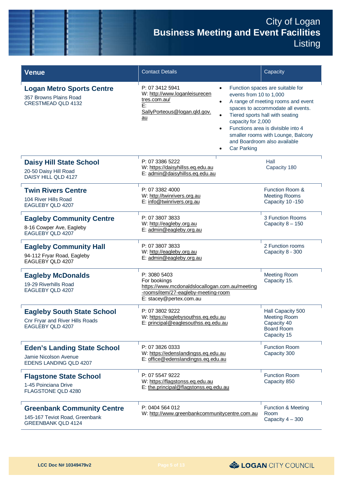| <b>Venue</b>                                                                                     | <b>Contact Details</b>                                                                                                                                                                                                                               | Capacity                                                                                                                                                                                                                                                   |
|--------------------------------------------------------------------------------------------------|------------------------------------------------------------------------------------------------------------------------------------------------------------------------------------------------------------------------------------------------------|------------------------------------------------------------------------------------------------------------------------------------------------------------------------------------------------------------------------------------------------------------|
| <b>Logan Metro Sports Centre</b><br>357 Browns Plains Road<br><b>CRESTMEAD QLD 4132</b>          | P: 07 3412 5941<br>$\bullet$<br>W: http://www.loganleisurecen<br>events from 10 to 1,000<br>tres.com.au/<br>$\bullet$<br>E:<br>SallyPorteous@logan.gld.gov.<br>$\bullet$<br>au<br>capacity for 2,000<br>$\bullet$<br><b>Car Parking</b><br>$\bullet$ | Function spaces are suitable for<br>A range of meeting rooms and event<br>spaces to accommodate all events.<br>Tiered sports hall with seating<br>Functions area is divisible into 4<br>smaller rooms with Lounge, Balcony<br>and Boardroom also available |
| <b>Daisy Hill State School</b><br>20-50 Daisy Hill Road<br>DAISY HILL QLD 4127                   | P: 07 3386 5222<br>W: https://daisyhillss.eq.edu.au<br>E: admin@daisyhillss.eq.edu.au                                                                                                                                                                | Hall<br>Capacity 180                                                                                                                                                                                                                                       |
| <b>Twin Rivers Centre</b><br>104 River Hills Road<br>EAGLEBY QLD 4207                            | P: 07 3382 4000<br>W: http://twinrivers.org.au<br>E: info@twinrivers.org.au                                                                                                                                                                          | Function Room &<br><b>Meeting Rooms</b><br>Capacity 10 - 150                                                                                                                                                                                               |
| <b>Eagleby Community Centre</b><br>8-16 Cowper Ave, Eagleby<br>EAGLEBY QLD 4207                  | P: 07 3807 3833<br>W: http://eagleby.org.au<br>E: admin@eagleby.org.au                                                                                                                                                                               | 3 Function Rooms<br>Capacity 8 - 150                                                                                                                                                                                                                       |
| <b>Eagleby Community Hall</b><br>94-112 Fryar Road, Eagleby<br>EAGLEBY QLD 4207                  | P: 07 3807 3833<br>W: http://eagleby.org.au<br>E: admin@eagleby.org.au                                                                                                                                                                               | 2 Function rooms<br>Capacity 8 - 300                                                                                                                                                                                                                       |
| <b>Eagleby McDonalds</b><br>19-29 Riverhills Road<br>EAGLEBY QLD 4207                            | P: 3080 5403<br>For bookings<br>https://www.mcdonaldslocallogan.com.au/meeting<br>-rooms/item/27-eagleby-meeting-room<br>E: stacey@pertex.com.au                                                                                                     | <b>Meeting Room</b><br>Capacity 15.                                                                                                                                                                                                                        |
| <b>Eagleby South State School</b><br>Cnr Fryar and River Hills Roads<br>EAGLEBY QLD 4207         | P: 07 3802 9222<br>W: https://eaglebysouthss.eq.edu.au<br>E: principal@eaglesouthss.eq.edu.au                                                                                                                                                        | Hall Capacity 500<br><b>Meeting Room</b><br>Capacity 40<br><b>Board Room</b><br>Capacity 15                                                                                                                                                                |
| <b>Eden's Landing State School</b><br>Jamie Nicolson Avenue<br><b>EDENS LANDING QLD 4207</b>     | P: 07 3826 0333<br>W: https://edenslandingss.eq.edu.au<br>E: office@edenslandingss.eq.edu.au                                                                                                                                                         | <b>Function Room</b><br>Capacity 300                                                                                                                                                                                                                       |
| <b>Flagstone State School</b><br>1-45 Poinciana Drive<br>FLAGSTONE QLD 4280                      | P: 07 5547 9222<br>W: https://flagstonss.eq.edu.au<br>E: the.principal@flagstonss.eq.edu.au                                                                                                                                                          | <b>Function Room</b><br>Capacity 850                                                                                                                                                                                                                       |
| <b>Greenbank Community Centre</b><br>145-167 Teviot Road, Greenbank<br><b>GREENBANK QLD 4124</b> | P: 0404 564 012<br>W: http://www.greenbankcommunitycentre.com.au                                                                                                                                                                                     | <b>Function &amp; Meeting</b><br>Room<br>Capacity 4 - 300                                                                                                                                                                                                  |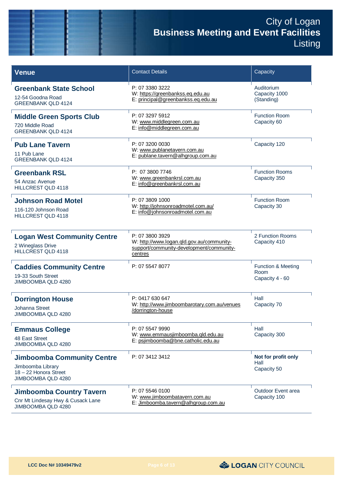| <b>Venue</b>                                                                                          | <b>Contact Details</b>                                                                                              | Capacity                                                 |
|-------------------------------------------------------------------------------------------------------|---------------------------------------------------------------------------------------------------------------------|----------------------------------------------------------|
| <b>Greenbank State School</b><br>12-54 Goodna Road<br><b>GREENBANK QLD 4124</b>                       | P: 07 3380 3222<br>W: https://greenbankss.eq.edu.au<br>E: principal@greenbankss.eq.edu.au                           | Auditorium<br>Capacity 1000<br>(Standing)                |
| <b>Middle Green Sports Club</b><br>720 Middle Road<br><b>GREENBANK QLD 4124</b>                       | P: 07 3297 5912<br>W: www.middlegreen.com.au<br>E: info@middlegreen.com.au                                          | <b>Function Room</b><br>Capacity 60                      |
| <b>Pub Lane Tavern</b><br>11 Pub Lane<br><b>GREENBANK QLD 4124</b>                                    | P: 07 3200 0030<br>W: www.publanetavern.com.au<br>E: publane.tavern@alhgroup.com.au                                 | Capacity 120                                             |
| <b>Greenbank RSL</b><br>54 Anzac Avenue<br><b>HILLCREST QLD 4118</b>                                  | P: 07 3800 7746<br>W: www.greenbankrsl.com.au<br>E: info@greenbankrsl.com.au                                        | <b>Function Rooms</b><br>Capacity 350                    |
| <b>Johnson Road Motel</b><br>116-120 Johnson Road<br><b>HILLCREST QLD 4118</b>                        | P: 07 3809 1000<br>W: http://johnsonroadmotel.com.au/<br>E: info@johnsonroadmotel.com.au                            | <b>Function Room</b><br>Capacity 30                      |
| <b>Logan West Community Centre</b><br>2 Wineglass Drive<br>HILLCREST QLD 4118                         | P: 07 3800 3929<br>W: http://www.logan.gld.gov.au/community-<br>support/community-development/community-<br>centres | 2 Function Rooms<br>Capacity 410                         |
| <b>Caddies Community Centre</b><br>19-33 South Street<br>JIMBOOMBA QLD 4280                           | P: 07 5547 8077                                                                                                     | <b>Function &amp; Meeting</b><br>Room<br>Capacity 4 - 60 |
| <b>Dorrington House</b><br><b>Johanna Street</b><br>JIMBOOMBA QLD 4280                                | P: 0417 630 647<br>W: http://www.jimboombarotary.com.au/venues<br>/dorrington-house                                 | Hall<br>Capacity 70                                      |
| <b>Emmaus College</b><br>48 East Street<br>JIMBOOMBA QLD 4280                                         | P: 07 5547 9990<br>W: www.emmausjimboomba.gld.edu.au<br>E: psjimboomba@bne.catholic.edu.au                          | Hall<br>Capacity 300                                     |
| <b>Jimboomba Community Centre</b><br>Jimboomba Library<br>18 - 22 Honora Street<br>JIMBOOMBA QLD 4280 | P: 07 3412 3412                                                                                                     | Not for profit only<br>Hall<br>Capacity 50               |
| <b>Jimboomba Country Tavern</b><br>Cnr Mt Lindesay Hwy & Cusack Lane<br>JIMBOOMBA QLD 4280            | P: 07 5546 0100<br>W: www.jimboombatavern.com.au<br>E: Jimboomba.tavern@alhgroup.com.au                             | Outdoor Event area<br>Capacity 100                       |

LOGAN CITY COUNCIL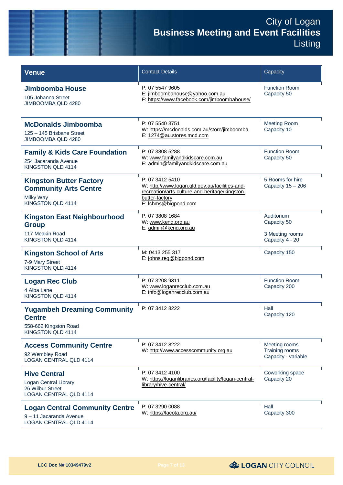| <b>Venue</b>                                                                                      | <b>Contact Details</b>                                                                                                                                        | Capacity                                                        |
|---------------------------------------------------------------------------------------------------|---------------------------------------------------------------------------------------------------------------------------------------------------------------|-----------------------------------------------------------------|
| Jimboomba House<br>105 Johanna Street<br>JIMBOOMBA QLD 4280                                       | P: 07 5547 9605<br>E: jimboombahouse@yahoo.com.au<br>F: https://www.facebook.com/jimboombahouse/                                                              | <b>Function Room</b><br>Capacity 50                             |
| <b>McDonalds Jimboomba</b><br>125 - 145 Brisbane Street<br>JIMBOOMBA QLD 4280                     | P: 07 5540 3751<br>W: https://mcdonalds.com.au/store/jimboomba<br>E: 1274@au.stores.mcd.com                                                                   | <b>Meeting Room</b><br>Capacity 10                              |
| <b>Family &amp; Kids Care Foundation</b><br>254 Jacaranda Avenue<br>KINGSTON QLD 4114             | P: 07 3808 5288<br>W: www.familyandkidscare.com.au<br>E: admin@familyandkidscare.com.au                                                                       | <b>Function Room</b><br>Capacity 50                             |
| <b>Kingston Butter Factory</b><br><b>Community Arts Centre</b><br>Milky Way<br>KINGSTON QLD 4114  | P: 07 3412 5410<br>W: http://www.logan.qld.gov.au/facilities-and-<br>recreation/arts-culture-and-heritage/kingston-<br>butter-factory<br>E: Ichms@bigpond.com | 5 Rooms for hire<br>Capacity $15 - 206$                         |
| <b>Kingston East Neighbourhood</b><br><b>Group</b><br>117 Meakin Road<br>KINGSTON QLD 4114        | P: 07 3808 1684<br>W: www.keng.org.au<br>E: admin@keng.org.au                                                                                                 | Auditorium<br>Capacity 50<br>3 Meeting rooms<br>Capacity 4 - 20 |
| <b>Kingston School of Arts</b><br>7-9 Mary Street<br>KINGSTON QLD 4114                            | M: 0413 255 317<br>E: johns.reg@bigpond.com                                                                                                                   | Capacity 150                                                    |
| <b>Logan Rec Club</b><br>4 Alba Lane<br>KINGSTON QLD 4114                                         | P: 07 3208 9311<br>W: www.loganrecclub.com.au<br>E: info@loganrecclub.com.au                                                                                  | <b>Function Room</b><br>Capacity 200                            |
| <b>Yugambeh Dreaming Community</b><br><b>Centre</b><br>558-662 Kingston Road<br>KINGSTON QLD 4114 | P: 07 3412 8222                                                                                                                                               | Hall<br>Capacity 120                                            |
| <b>Access Community Centre</b><br>92 Wembley Road<br><b>LOGAN CENTRAL QLD 4114</b>                | P: 07 3412 8222<br>W: http://www.accesscommunity.org.au                                                                                                       | Meeting rooms<br>Training rooms<br>Capacity - variable          |
| <b>Hive Central</b><br>Logan Central Library<br>26 Wilbur Street<br>LOGAN CENTRAL QLD 4114        | P: 07 3412 4100<br>W: https://loganlibraries.org/facility/logan-central-<br>library/hive-central/                                                             | Coworking space<br>Capacity 20                                  |
| <b>Logan Central Community Centre</b><br>9 - 11 Jacaranda Avenue<br>LOGAN CENTRAL QLD 4114        | P: 07 3290 0088<br>W: https://lacota.org.au/                                                                                                                  | Hall<br>Capacity 300                                            |

& LOGAN CITY COUNCIL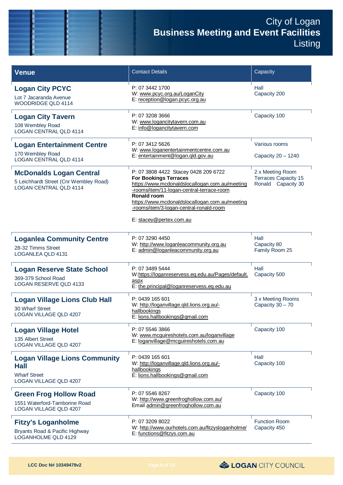| <b>Venue</b>                                                                                                | <b>Contact Details</b>                                                                                                                                                                                                                                                                                     | Capacity                                                              |
|-------------------------------------------------------------------------------------------------------------|------------------------------------------------------------------------------------------------------------------------------------------------------------------------------------------------------------------------------------------------------------------------------------------------------------|-----------------------------------------------------------------------|
| <b>Logan City PCYC</b><br>Lot 7 Jacaranda Avenue<br><b>WOODRIDGE QLD 4114</b>                               | P: 07 3442 1700<br>W: www.pcyc.org.au/LoganCity<br>E: reception@logan.pcyc.org.au                                                                                                                                                                                                                          | Hall<br>Capacity 200                                                  |
| <b>Logan City Tavern</b><br>108 Wembley Road<br><b>LOGAN CENTRAL QLD 4114</b>                               | P: 07 3208 3666<br>W: www.logancitytavern.com.au<br>E: info@logancitytavern.com                                                                                                                                                                                                                            | Capacity 100                                                          |
| <b>Logan Entertainment Centre</b><br>170 Wembley Road<br><b>LOGAN CENTRAL QLD 4114</b>                      | P: 07 3412 5626<br>W: www.loganentertainmentcentre.com.au<br>E: entertainment@logan.gld.gov.au                                                                                                                                                                                                             | Various rooms<br>Capacity 20 - 1240                                   |
| <b>McDonalds Logan Central</b><br>5 Leichhardt Street (Cnr Wembley Road)<br><b>LOGAN CENTRAL QLD 4114</b>   | P: 07 3808 4422 Stacey 0428 209 6722<br><b>For Bookings Terraces</b><br>https://www.mcdonaldslocallogan.com.au/meeting<br>-rooms/item/11-logan-central-terrace-room<br>Ronald room<br>https://www.mcdonaldslocallogan.com.au/meeting<br>-rooms/item/3-logan-central-ronald-room<br>E: stacey@pertex.com.au | 2 x Meeting Room<br><b>Terraces Capacity 15</b><br>Ronald Capacity 30 |
| <b>Loganlea Community Centre</b><br>28-32 Timms Street<br>LOGANLEA QLD 4131                                 | P: 07 3290 4450<br>W: http://www.loganleacommunity.org.au<br>E: admin@loganleacommunity.org.au                                                                                                                                                                                                             | Hall<br>Capacity 80<br>Family Room 25                                 |
| <b>Logan Reserve State School</b><br>369-379 School Road<br><b>LOGAN RESERVE QLD 4133</b>                   | P: 07 3489 5444<br>W:https://loganreservess.eq.edu.au/Pages/default.<br>aspx<br>E: the.principal@loganreservess.eq.edu.au                                                                                                                                                                                  | Hall<br>Capacity 500                                                  |
| <b>Logan Village Lions Club Hall</b><br>30 Wharf Street<br><b>LOGAN VILLAGE QLD 4207</b>                    | P: 0439 165 601<br>W: http://loganvillage.gld.lions.org.au/-<br>hallbookings<br>E: lions.hallbookings@gmail.com                                                                                                                                                                                            | 3 x Meeting Rooms<br>Capacity 30 - 70                                 |
| <b>Logan Village Hotel</b><br>135 Albert Street<br><b>LOGAN VILLAGE QLD 4207</b>                            | P: 07 5546 3866<br>W: www.mcguireshotels.com.au/loganvillage<br>E: loganvillage@mcguireshotels.com.au                                                                                                                                                                                                      | Capacity 100                                                          |
| <b>Logan Village Lions Community</b><br><b>Hall</b><br><b>Wharf Street</b><br><b>LOGAN VILLAGE QLD 4207</b> | P: 0439 165 601<br>W: http://loganvillage.gld.lions.org.au/-<br>hallbookings<br>E: lions.hallbookings@gmail.com                                                                                                                                                                                            | Hall<br>Capacity 100                                                  |
| <b>Green Frog Hollow Road</b><br>1551 Waterford-Tamborine Road<br><b>LOGAN VILLAGE QLD 4207</b>             | P: 07 5546 8267<br>W: http://www.greenfroghollow.com.au/<br>Email admin@greenfroghollow.com.au                                                                                                                                                                                                             | Capacity 100                                                          |
| <b>Fitzy's Loganholme</b><br>Bryants Road & Pacific Highway<br>LOGANHOLME QLD 4129                          | P: 07 3209 8022<br>W: http://www.ourhotels.com.au/fitzysloganholme/<br>E: functions@fitzys.com.au                                                                                                                                                                                                          | <b>Function Room</b><br>Capacity 450                                  |

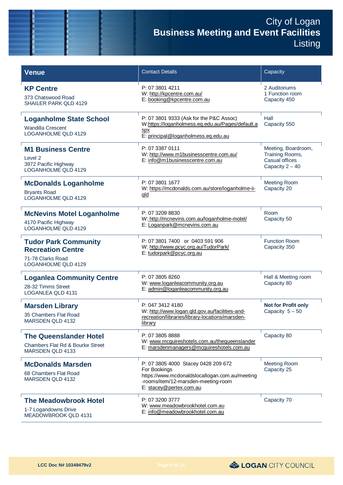| <b>Venue</b>                                                                                        | <b>Contact Details</b>                                                                                                                                                  | Capacity                                                                      |
|-----------------------------------------------------------------------------------------------------|-------------------------------------------------------------------------------------------------------------------------------------------------------------------------|-------------------------------------------------------------------------------|
| <b>KP Centre</b><br>373 Chatswood Road<br><b>SHAILER PARK QLD 4129</b>                              | P: 07 3801 4211<br>W: http://kpcentre.com.au/<br>E: booking@kpcentre.com.au                                                                                             | 2 Auditoriums<br>1 Function room<br>Capacity 450                              |
| <b>Loganholme State School</b><br><b>Wandilla Crescent</b><br><b>LOGANHOLME QLD 4129</b>            | P: 07 3801 9333 (Ask for the P&C Assoc)<br>W:https://loganholmess.eq.edu.au/Pages/default.a<br><b>Spx</b><br>E: principal@loganholmess.eq.edu.au                        | Hall<br>Capacity 550                                                          |
| <b>M1 Business Centre</b><br>Level 2<br>3972 Pacific Highway<br>LOGANHOLME QLD 4129                 | P: 07 3387 0111<br>W: http://www.m1businesscentre.com.au/<br>E: info@m1businesscentre.com.au                                                                            | Meeting, Boardroom,<br>Training Rooms,<br>Casual offices<br>Capacity $2 - 40$ |
| <b>McDonalds Loganholme</b><br><b>Bryants Road</b><br><b>LOGANHOLME QLD 4129</b>                    | P: 07 3801 1677<br>W: https://mcdonalds.com.au/store/loganholme-ii-<br><u>qld</u>                                                                                       | <b>Meeting Room</b><br>Capacity 20                                            |
| <b>McNevins Motel Loganholme</b><br>4170 Pacific Highway<br>LOGANHOLME QLD 4129                     | P: 07 3209 8830<br>W: http://mcnevins.com.au/loganholme-motel/<br>E: Loganpark@mcnevins.com.au                                                                          | Room<br>Capacity 50                                                           |
| <b>Tudor Park Community</b><br><b>Recreation Centre</b><br>71-78 Clarks Road<br>LOGANHOLME QLD 4129 | P: 07 3801 7400 or 0403 591 906<br>W: http://www.pcyc.org.au/TudorPark/<br>E: tudorpark@pcyc.org.au                                                                     | <b>Function Room</b><br>Capacity 350                                          |
| <b>Loganlea Community Centre</b><br>28-32 Timms Street<br>LOGANLEA QLD 4131                         | P: 07 3805 8260<br>W: www.loganleacommunity.org.au<br>E: admin@loganleacommunity.org.au                                                                                 | Hall & Meeting room<br>Capacity 80                                            |
| <b>Marsden Library</b><br>35 Chambers Flat Road<br>MARSDEN QLD 4132                                 | P: 047 3412 4180<br>W: http://www.logan.qld.gov.au/facilities-and-<br>recreation/libraries/library-locations/marsden-<br>library                                        | <b>Not for Profit only</b><br>Capacity $5-50$                                 |
| <b>The Queenslander Hotel</b><br>Chambers Flat Rd & Bourke Street<br>MARSDEN QLD 4133               | P: 07 3805 8888<br>W: www.mcguireshotels.com.au/thequeenslander<br>E: marsdenmanagers@mcguireshotels.com.au                                                             | Capacity 80                                                                   |
| <b>McDonalds Marsden</b><br>68 Chambers Flat Road<br>MARSDEN QLD 4132                               | P: 07 3805 4000 Stacey 0428 209 672<br>For Bookings<br>https://www.mcdonaldslocallogan.com.au/meeting<br>-rooms/item/12-marsden-meeting-room<br>E: stacey@pertex.com.au | <b>Meeting Room</b><br>Capacity 25                                            |
| <b>The Meadowbrook Hotel</b><br>1-7 Logandowns Drive<br>MEADOWBROOK QLD 4131                        | P: 07 3200 3777<br>W: www.meadowbrookhotel.com.au<br>E: info@meadowbrookhotel.com.au                                                                                    | Capacity 70                                                                   |

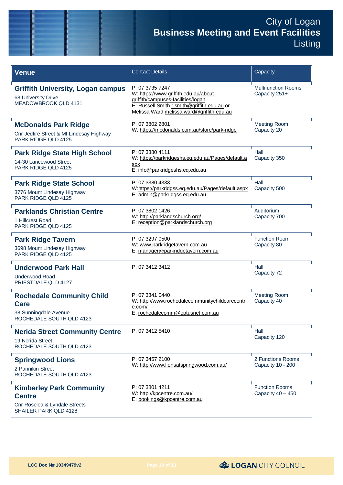| <b>Venue</b>                                                                                               | <b>Contact Details</b>                                                                                                                                                                     | Capacity                                     |
|------------------------------------------------------------------------------------------------------------|--------------------------------------------------------------------------------------------------------------------------------------------------------------------------------------------|----------------------------------------------|
| <b>Griffith University, Logan campus</b><br>68 University Drive<br>MEADOWBROOK QLD 4131                    | P: 07 3735 7247<br>W: https://www.griffith.edu.au/about-<br>griffith/campuses-facilities/logan<br>E: Russell Smith r.smith@griffith.edu.au or<br>Melissa Ward melissa.ward@griffith.edu.au | <b>Multifunction Rooms</b><br>Capacity 251+  |
| <b>McDonalds Park Ridge</b><br>Cnr Jedfire Street & Mt Lindesay Highway<br>PARK RIDGE QLD 4125             | P: 07 3802 2801<br>W: https://mcdonalds.com.au/store/park-ridge                                                                                                                            | <b>Meeting Room</b><br>Capacity 20           |
| <b>Park Ridge State High School</b><br>14-30 Lancewood Street<br><b>PARK RIDGE QLD 4125</b>                | P: 07 3380 4111<br>W: https://parkridgeshs.eq.edu.au/Pages/default.a<br>spx<br>E: info@parkridgeshs.eq.edu.au                                                                              | Hall<br>Capacity 350                         |
| <b>Park Ridge State School</b><br>3776 Mount Lindesay Highway<br>PARK RIDGE QLD 4125                       | P: 07 3380 4333<br>W:https://parkridgss.eq.edu.au/Pages/default.aspx<br>E: admin@parkridgss.eq.edu.au                                                                                      | Hall<br>Capacity 500                         |
| <b>Parklands Christian Centre</b><br>1 Hillcrest Road<br>PARK RIDGE QLD 4125                               | P: 07 3802 1426<br>W: http://parklandschurch.org/<br>E: reception@parklandschurch.org                                                                                                      | Auditorium<br>Capacity 700                   |
| <b>Park Ridge Tavern</b><br>3698 Mount Lindesay Highway<br>PARK RIDGE QLD 4125                             | P: 07 3297 0500<br>W: www.parkridgetavern.com.au<br>E: manager@parkridgetavern.com.au                                                                                                      | <b>Function Room</b><br>Capacity 80          |
| <b>Underwood Park Hall</b><br><b>Underwood Road</b><br>PRIESTDALE QLD 4127                                 | P: 07 3412 3412                                                                                                                                                                            | Hall<br>Capacity 72                          |
| <b>Rochedale Community Child</b><br><b>Care</b><br>38 Sunningdale Avenue<br>ROCHEDALE SOUTH QLD 4123       | P: 07 3341 0440<br>W: http://www.rochedalecommunitychildcarecentr<br>e.com/<br>E: rochedalecomm@optusnet.com.au                                                                            | <b>Meeting Room</b><br>Capacity 40           |
| <b>Nerida Street Community Centre</b><br>19 Nerida Street<br>ROCHEDALE SOUTH QLD 4123                      | P: 07 3412 5410                                                                                                                                                                            | Hall<br>Capacity 120                         |
| <b>Springwood Lions</b><br>2 Pannikin Street<br>ROCHEDALE SOUTH QLD 4123                                   | P: 07 3457 2100<br>W: http://www.lionsatspringwood.com.au/                                                                                                                                 | 2 Functions Rooms<br>Capacity 10 - 200       |
| <b>Kimberley Park Community</b><br><b>Centre</b><br>Cnr Roselea & Lyndale Streets<br>SHAILER PARK QLD 4128 | P: 07 3801 4211<br>W: http://kpcentre.com.au/<br>E: bookings@kpcentre.com.au                                                                                                               | <b>Function Rooms</b><br>Capacity $40 - 450$ |

LOGAN CITY COUNCIL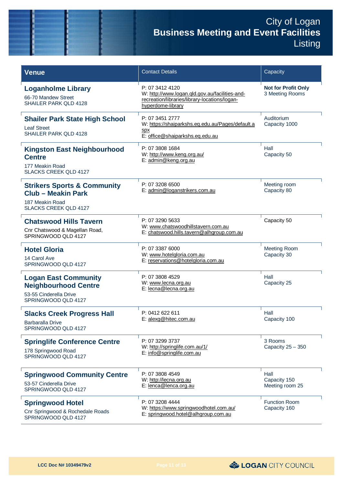| <b>Venue</b>                                                                                                           | <b>Contact Details</b>                                                                                                                  | Capacity                                      |
|------------------------------------------------------------------------------------------------------------------------|-----------------------------------------------------------------------------------------------------------------------------------------|-----------------------------------------------|
| <b>Loganholme Library</b><br>66-70 Mandew Street<br><b>SHAILER PARK QLD 4128</b>                                       | P: 07 3412 4120<br>W: http://www.logan.qld.gov.au/facilities-and-<br>recreation/libraries/library-locations/logan-<br>hyperdome-library | <b>Not for Profit Only</b><br>3 Meeting Rooms |
| <b>Shailer Park State High School</b><br><b>Leaf Street</b><br><b>SHAILER PARK QLD 4128</b>                            | P: 07 3451 2777<br>W: https://shaiparkshs.eq.edu.au/Pages/default.a<br><b>Spx</b><br>E: office@shaiparkshs.eq.edu.au                    | Auditorium<br>Capacity 1000                   |
| <b>Kingston East Neighbourhood</b><br><b>Centre</b><br>177 Meakin Road<br><b>SLACKS CREEK QLD 4127</b>                 | P: 07 3808 1684<br>W: http://www.keng.org.au/<br>E: admin@keng.org.au                                                                   | Hall<br>Capacity 50                           |
| <b>Strikers Sports &amp; Community</b><br><b>Club - Meakin Park</b><br>187 Meakin Road<br><b>SLACKS CREEK QLD 4127</b> | P: 07 3208 6500<br>E: admin@loganstrikers.com.au                                                                                        | Meeting room<br>Capacity 80                   |
| <b>Chatswood Hills Tavern</b><br>Cnr Chatswood & Magellan Road,<br>SPRINGWOOD QLD 4127                                 | P: 07 3290 5633<br>W: www.chatswoodhillstavern.com.au<br>E: chatswood.hills.tavern@alhgroup.com.au                                      | Capacity 50                                   |
| <b>Hotel Gloria</b><br>14 Carol Ave<br>SPRINGWOOD QLD 4127                                                             | P: 07 3387 6000<br>W: www.hotelgloria.com.au<br>E: reservations@hotelgloria.com.au                                                      | <b>Meeting Room</b><br>Capacity 30            |
| <b>Logan East Community</b><br><b>Neighbourhood Centre</b><br>53-55 Cinderella Drive<br>SPRINGWOOD QLD 4127            | P: 07 3808 4529<br>W: www.lecna.org.au<br>E: lecna@lecna.org.au                                                                         | Hall<br>Capacity 25                           |
| <b>Slacks Creek Progress Hall</b><br><b>Barbaralla Drive</b><br>SPRINGWOOD QLD 4127                                    | P: 0412 622 611<br>E: alexg@hitec.com.au                                                                                                | Hall<br>Capacity 100                          |
| <b>Springlife Conference Centre</b><br>178 Springwood Road<br>SPRINGWOOD QLD 4127                                      | P: 07 3299 3737<br>W: http://springlife.com.au/1/<br>E: info@springlife.com.au                                                          | 3 Rooms<br>Capacity $25 - 350$                |
| <b>Springwood Community Centre</b><br>53-57 Cinderella Drive<br>SPRINGWOOD QLD 4127                                    | P: 07 3808 4549<br>W: http://lecna.org.au<br>E: lenca@lenca.org.au                                                                      | Hall<br>Capacity 150<br>Meeting room 25       |
| <b>Springwood Hotel</b><br>Cnr Springwood & Rochedale Roads<br>SPRINGWOOD QLD 4127                                     | P: 07 3208 4444<br>W: https://www.springwoodhotel.com.au/<br>E: springwood.hotel@alhgroup.com.au                                        | <b>Function Room</b><br>Capacity 160          |

& LOGAN CITY COUNCIL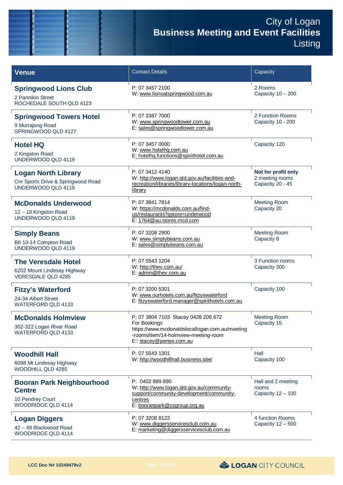| <b>Venue</b>                                                                                | <b>Contact Details</b>                                                                                                                                                    | Capacity                                                   |
|---------------------------------------------------------------------------------------------|---------------------------------------------------------------------------------------------------------------------------------------------------------------------------|------------------------------------------------------------|
| <b>Springwood Lions Club</b><br>2 Pannikin Street<br>ROCHEDALE SOUTH QLD 4123               | P: 07 3457 2100<br>W: www.lionsatspringwood.com.au                                                                                                                        | 2 Rooms<br>Capacity $10 - 200$                             |
| <b>Springwood Towers Hotel</b><br>9 Murrajong Road<br>SPRINGWOOD QLD 4127                   | P: 07 3387 7000<br>W: www.springwoodtower.com.au<br>E: sales@springwoodtower.com.au                                                                                       | 2 Function Rooms<br>Capacity 10 - 200                      |
| <b>Hotel HQ</b><br>2 Kingston Road<br>UNDERWOOD QLD 4119                                    | P: 07 3457 0000<br>W: www.hotelhq.com.au<br>E: hotelhg.functions@spirithotel.com.au                                                                                       | Capacity 120                                               |
| <b>Logan North Library</b><br>Cnr Sports Drive & Springwood Road<br>UNDERWOOD QLD 4119      | P: 07 3412 4140<br>W: http://www.logan.qld.gov.au/facilities-and-<br>recreation/libraries/library-locations/logan-north-<br>library                                       | Not for profit only<br>2 meeting rooms<br>Capacity 20 - 45 |
| <b>McDonalds Underwood</b><br>12 - 18 Kingston Road<br>UNDERWOOD QLD 4119                   | P: 07 3841 7814<br>W: https://mcdonalds.com.au/find-<br>us/restaurants?gstore=underwood<br>E: 1764@au.stores.mcd.com                                                      | <b>Meeting Room</b><br>Capacity 20                         |
| <b>Simply Beans</b><br>B6 10-14 Compton Road<br>UNDERWOOD QLD 4119                          | P: 07 3208 2900<br>W: www.simplybeans.com.au<br>E: sales@simplybeans.com.au                                                                                               | <b>Meeting Room</b><br>Capacity 8                          |
| <b>The Veresdale Hotel</b><br>6202 Mount Lindesay Highway<br><b>VERESDALE QLD 4285</b>      | P: 07 5543 1204<br>W: http://thev.com.au/<br>E: admin@thev.com.au                                                                                                         | 3 Function rooms<br>Capacity 300                           |
| <b>Fitzy's Waterford</b><br>24-34 Albert Street<br>WATERFORD QLD 4133                       | P: 07 3200 5301<br>W: www.ourhotels.com.au/fitzyswaterford<br>E: fitzyswaterford.manager@spirithotels.com.au                                                              | Capacity 100                                               |
| <b>McDonalds Holmview</b><br>302-322 Logan River Road<br><b>WATERFORD QLD 4133</b>          | P: 07 3804 7103 Stacey 0428 209 672<br>For Bookings<br>https://www.mcdonaldslocallogan.com.au/meeting<br>-rooms/item/14-holmview-meeting-room<br>E:: stacey@pertex.com.au | <b>Meeting Room</b><br>Capacity 15                         |
| <b>Woodhill Hall</b><br>6098 Mt Lindesay Highway<br>WOODHILL QLD 4285                       | P: 07 5543 1301<br>W: http://woodhillhall.business.site/                                                                                                                  | Hall<br>Capacity 100                                       |
| <b>Booran Park Neighbourhood</b><br><b>Centre</b><br>10 Pendrey Court<br>WOODRIDGE QLD 4114 | P: 0402 889 890<br>W: http://www.logan.gld.gov.au/community-<br>support/community-development/community-<br>centres<br>E: booranpark@csgroup.org.au                       | Hall and 2 meeting<br>rooms<br>Capacity 12 - 100           |
| <b>Logan Diggers</b><br>42 - 48 Blackwood Road<br>WOODRIDGE QLD 4114                        | P: 07 3208 8122<br>W: www.diggersservicesclub.com.au<br>E: marketing@diggersservicesclub.com.au                                                                           | 4 function Rooms<br>Capacity $12 - 500$                    |